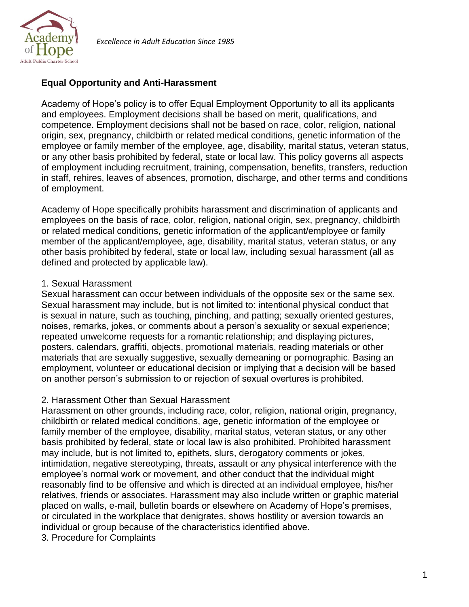

*Excellence in Adult Education Since 1985*

# **Equal Opportunity and Anti-Harassment**

Academy of Hope's policy is to offer Equal Employment Opportunity to all its applicants and employees. Employment decisions shall be based on merit, qualifications, and competence. Employment decisions shall not be based on race, color, religion, national origin, sex, pregnancy, childbirth or related medical conditions, genetic information of the employee or family member of the employee, age, disability, marital status, veteran status, or any other basis prohibited by federal, state or local law. This policy governs all aspects of employment including recruitment, training, compensation, benefits, transfers, reduction in staff, rehires, leaves of absences, promotion, discharge, and other terms and conditions of employment.

Academy of Hope specifically prohibits harassment and discrimination of applicants and employees on the basis of race, color, religion, national origin, sex, pregnancy, childbirth or related medical conditions, genetic information of the applicant/employee or family member of the applicant/employee, age, disability, marital status, veteran status, or any other basis prohibited by federal, state or local law, including sexual harassment (all as defined and protected by applicable law).

## 1. Sexual Harassment

Sexual harassment can occur between individuals of the opposite sex or the same sex. Sexual harassment may include, but is not limited to: intentional physical conduct that is sexual in nature, such as touching, pinching, and patting; sexually oriented gestures, noises, remarks, jokes, or comments about a person's sexuality or sexual experience; repeated unwelcome requests for a romantic relationship; and displaying pictures, posters, calendars, graffiti, objects, promotional materials, reading materials or other materials that are sexually suggestive, sexually demeaning or pornographic. Basing an employment, volunteer or educational decision or implying that a decision will be based on another person's submission to or rejection of sexual overtures is prohibited.

### 2. Harassment Other than Sexual Harassment

Harassment on other grounds, including race, color, religion, national origin, pregnancy, childbirth or related medical conditions, age, genetic information of the employee or family member of the employee, disability, marital status, veteran status, or any other basis prohibited by federal, state or local law is also prohibited. Prohibited harassment may include, but is not limited to, epithets, slurs, derogatory comments or jokes, intimidation, negative stereotyping, threats, assault or any physical interference with the employee's normal work or movement, and other conduct that the individual might reasonably find to be offensive and which is directed at an individual employee, his/her relatives, friends or associates. Harassment may also include written or graphic material placed on walls, e-mail, bulletin boards or elsewhere on Academy of Hope's premises, or circulated in the workplace that denigrates, shows hostility or aversion towards an individual or group because of the characteristics identified above.

3. Procedure for Complaints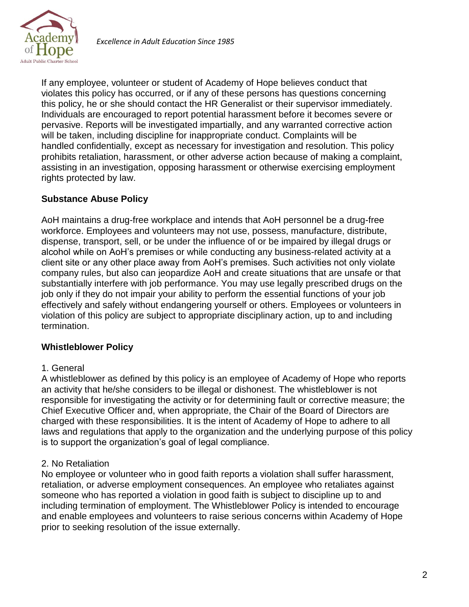

If any employee, volunteer or student of Academy of Hope believes conduct that violates this policy has occurred, or if any of these persons has questions concerning this policy, he or she should contact the HR Generalist or their supervisor immediately. Individuals are encouraged to report potential harassment before it becomes severe or pervasive. Reports will be investigated impartially, and any warranted corrective action will be taken, including discipline for inappropriate conduct. Complaints will be handled confidentially, except as necessary for investigation and resolution. This policy prohibits retaliation, harassment, or other adverse action because of making a complaint, assisting in an investigation, opposing harassment or otherwise exercising employment rights protected by law.

## **Substance Abuse Policy**

AoH maintains a drug-free workplace and intends that AoH personnel be a drug-free workforce. Employees and volunteers may not use, possess, manufacture, distribute, dispense, transport, sell, or be under the influence of or be impaired by illegal drugs or alcohol while on AoH's premises or while conducting any business-related activity at a client site or any other place away from AoH's premises. Such activities not only violate company rules, but also can jeopardize AoH and create situations that are unsafe or that substantially interfere with job performance. You may use legally prescribed drugs on the job only if they do not impair your ability to perform the essential functions of your job effectively and safely without endangering yourself or others. Employees or volunteers in violation of this policy are subject to appropriate disciplinary action, up to and including termination.

### **Whistleblower Policy**

#### 1. General

A whistleblower as defined by this policy is an employee of Academy of Hope who reports an activity that he/she considers to be illegal or dishonest. The whistleblower is not responsible for investigating the activity or for determining fault or corrective measure; the Chief Executive Officer and, when appropriate, the Chair of the Board of Directors are charged with these responsibilities. It is the intent of Academy of Hope to adhere to all laws and regulations that apply to the organization and the underlying purpose of this policy is to support the organization's goal of legal compliance.

### 2. No Retaliation

No employee or volunteer who in good faith reports a violation shall suffer harassment, retaliation, or adverse employment consequences. An employee who retaliates against someone who has reported a violation in good faith is subject to discipline up to and including termination of employment. The Whistleblower Policy is intended to encourage and enable employees and volunteers to raise serious concerns within Academy of Hope prior to seeking resolution of the issue externally.